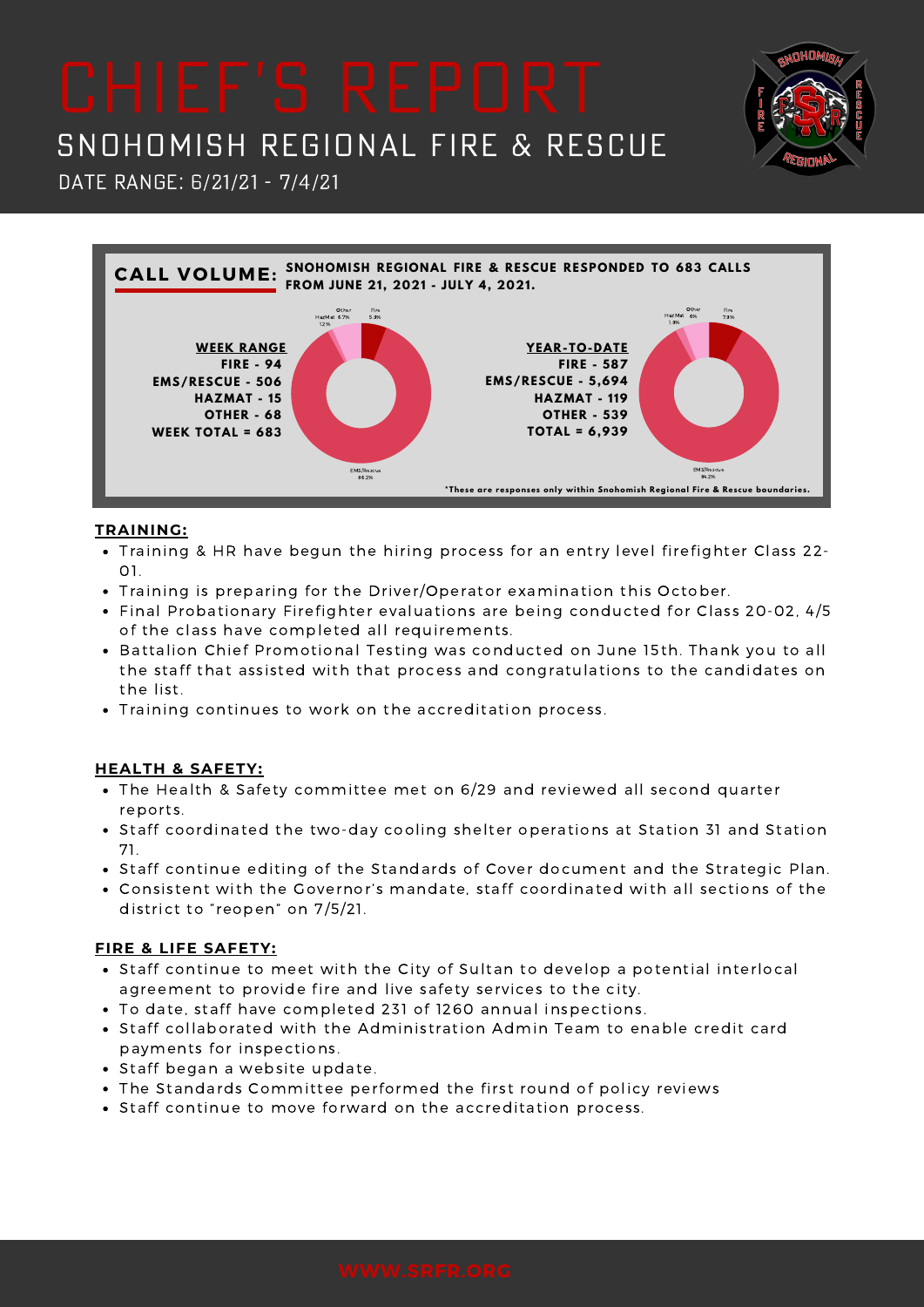## SNOHOMISH REGIONAL FIRE & RESCUE

DATE RANGE: 6/21/21 - 7/4/21



### **TRAINING:**

- Training & HR have begun the hiring process for an entry level firefighter Class 22- 01.
- Training is preparing for the Driver/Operator examination this October.
- Final Probationary Firefighter evaluations are being conducted for Class 20-02, 4/5 of the class have completed all requirements.
- Battalion Chief Promotional Testing was conducted on June 15th. Thank you to all the staff that assisted with that process and congratulations to the candidates on the list.
- Training continues to work on the accreditation process.

### **HEALTH & SAFETY:**

- The Health & Safety committee met on 6/29 and reviewed all second quarter reports.
- Staff coordinated the two-day cooling shelter operations at Station 31 and Station 71.
- Staff continue editing of the Standards of Cover document and the Strategic Plan.
- Consistent with the Governor's mandate, staff coordinated with all sections of the district to "reopen" on 7/5/21.

#### **FIRE & LIFE SAFETY:**

- Staff continue to meet with the City of Sultan to develop a potential interlocal agreement to provide fire and live safety services to the city.
- To date, staff have completed 231 of 1260 annual inspections.
- Staff collaborated with the Administration Admin Team to enable credit card payments for inspections.
- Staff began a website update.
- The Standards Committee performed the first round of policy reviews
- Staff continue to move forward on the accreditation process.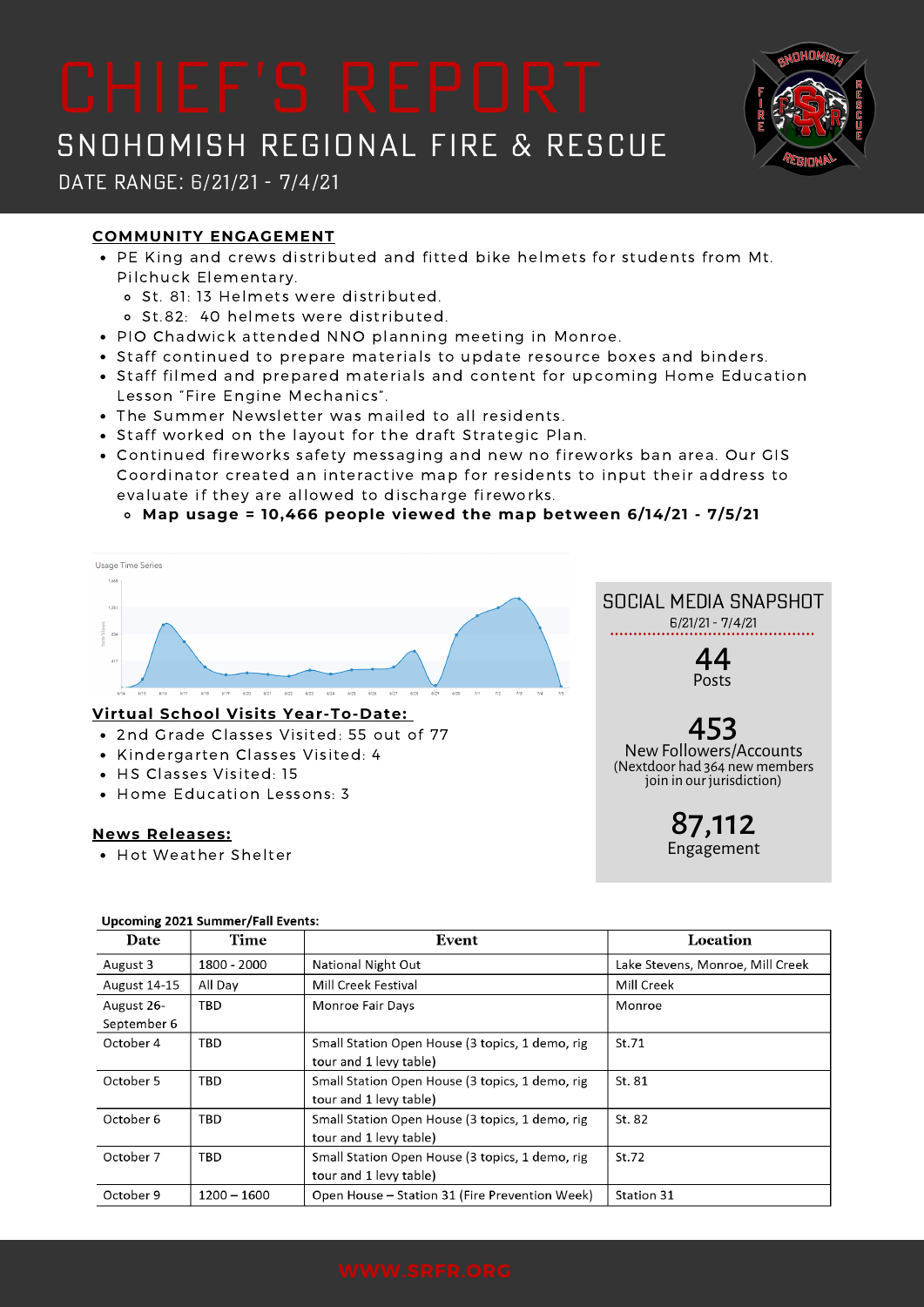# SNOHOMISH REGIONAL FIRE & RESCUE

### Date Range: 6/21/21 - 7/4/21

### **COMMUNITY ENGAGEMENT**

- PE King and crews distributed and fitted bike helmets for students from Mt. Pilchuck Elementary.
	- o St. 81: 13 Helmets were distributed.
	- St.82: 40 helmets were distributed.
- PIO Chadwick attended NNO planning meeting in Monroe.
- Staff continued to prepare materials to update resource boxes and binders.
- Staff filmed and prepared materials and content for upcoming Home Education Lesson "Fire Engine Mechanics".
- The Summer Newsletter was mailed to all residents.
- Staff worked on the layout for the draft Strategic Plan.
- Continued fireworks safety messaging and new no fireworks ban area. Our GIS Coordinator created an interactive map for residents to input their address to evaluate if they are allowed to discharge fireworks.

**Map usage = 10,466 people viewed the map between 6/14/21 - 7/5/21**



#### **Virtual School Visits Year-To-Date:**

- 2nd Grade Classes Visited: 55 out of 77
- Kindergarten Classes Visited: 4
- HS Classes Visited: 15
- Home Education Lessons: 3

#### **News Releases:**

• Hot Weather Shelter

Social Media Snapshot 6/21/21 - 7/4/21

> 44 Posts

## 453

NewFollowers/Accounts (Nextdoor had 364 new members join in our jurisdiction)

> 87,112 Engagement

| Date                | Time          | Event                                           | Location                         |
|---------------------|---------------|-------------------------------------------------|----------------------------------|
| August 3            | 1800 - 2000   | National Night Out                              | Lake Stevens, Monroe, Mill Creek |
| <b>August 14-15</b> | All Day       | Mill Creek Festival                             | Mill Creek                       |
| August 26-          | TBD           | <b>Monroe Fair Days</b>                         | Monroe                           |
| September 6         |               |                                                 |                                  |
| October 4           | TBD           | Small Station Open House (3 topics, 1 demo, rig | St.71                            |
|                     |               | tour and 1 levy table)                          |                                  |
| October 5           | TBD           | Small Station Open House (3 topics, 1 demo, rig | St. 81                           |
|                     |               | tour and 1 levy table)                          |                                  |
| October 6           | TBD           | Small Station Open House (3 topics, 1 demo, rig | St. 82                           |
|                     |               | tour and 1 levy table)                          |                                  |
| October 7           | <b>TBD</b>    | Small Station Open House (3 topics, 1 demo, rig | St.72                            |
|                     |               | tour and 1 levy table)                          |                                  |
| October 9           | $1200 - 1600$ | Open House - Station 31 (Fire Prevention Week)  | Station 31                       |

#### **Upcoming 2021 Summer/Fall Events:**